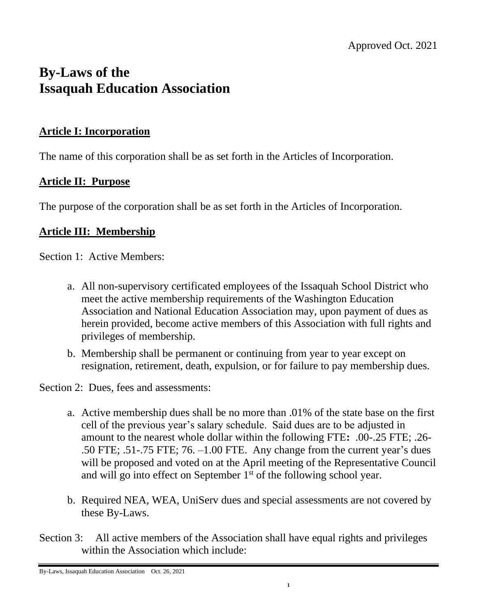# **By-Laws of the Issaquah Education Association**

#### **Article I: Incorporation**

The name of this corporation shall be as set forth in the Articles of Incorporation.

# **Article II: Purpose**

The purpose of the corporation shall be as set forth in the Articles of Incorporation.

## **Article III: Membership**

Section 1: Active Members:

- a. All non-supervisory certificated employees of the Issaquah School District who meet the active membership requirements of the Washington Education Association and National Education Association may, upon payment of dues as herein provided, become active members of this Association with full rights and privileges of membership.
- b. Membership shall be permanent or continuing from year to year except on resignation, retirement, death, expulsion, or for failure to pay membership dues.

Section 2: Dues, fees and assessments:

- a. Active membership dues shall be no more than .01% of the state base on the first cell of the previous year's salary schedule. Said dues are to be adjusted in amount to the nearest whole dollar within the following FTE**:** .00-.25 FTE; .26- .50 FTE; .51-.75 FTE; 76. –1.00 FTE. Any change from the current year's dues will be proposed and voted on at the April meeting of the Representative Council and will go into effect on September 1<sup>st</sup> of the following school year.
- b. Required NEA, WEA, UniServ dues and special assessments are not covered by these By-Laws.
- Section 3: All active members of the Association shall have equal rights and privileges within the Association which include:

By-Laws, Issaquah Education Association Oct. 26, 2021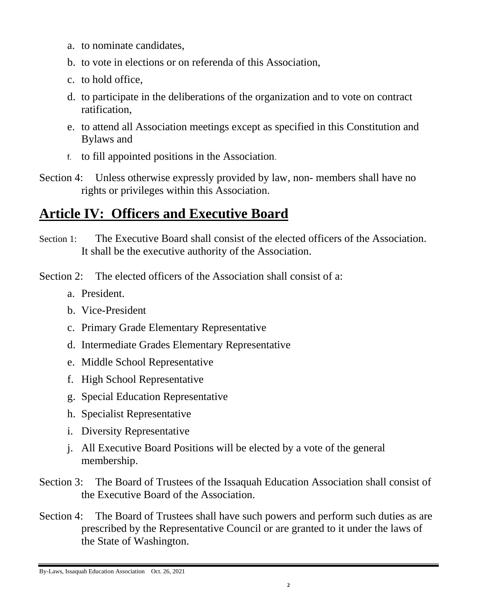- a. to nominate candidates,
- b. to vote in elections or on referenda of this Association,
- c. to hold office,
- d. to participate in the deliberations of the organization and to vote on contract ratification,
- e. to attend all Association meetings except as specified in this Constitution and Bylaws and
- f. to fill appointed positions in the Association.
- Section 4: Unless otherwise expressly provided by law, non- members shall have no rights or privileges within this Association.

# **Article IV: Officers and Executive Board**

Section 1: The Executive Board shall consist of the elected officers of the Association. It shall be the executive authority of the Association.

Section 2: The elected officers of the Association shall consist of a:

- a. President.
- b. Vice-President
- c. Primary Grade Elementary Representative
- d. Intermediate Grades Elementary Representative
- e. Middle School Representative
- f. High School Representative
- g. Special Education Representative
- h. Specialist Representative
- i. Diversity Representative
- j. All Executive Board Positions will be elected by a vote of the general membership.
- Section 3: The Board of Trustees of the Issaquah Education Association shall consist of the Executive Board of the Association.
- Section 4: The Board of Trustees shall have such powers and perform such duties as are prescribed by the Representative Council or are granted to it under the laws of the State of Washington.

By-Laws, Issaquah Education Association Oct. 26, 2021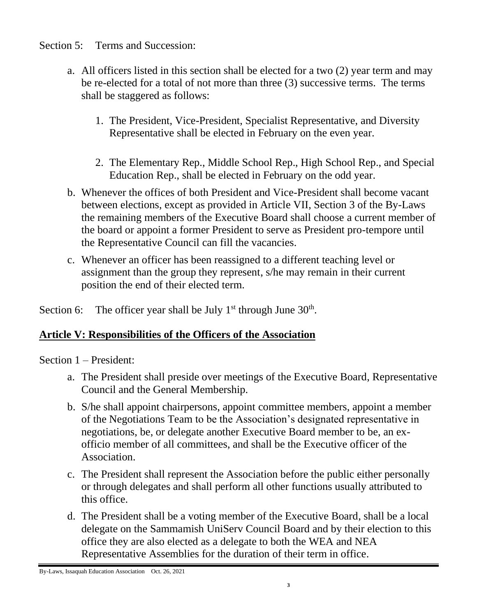Section 5: Terms and Succession:

- a. All officers listed in this section shall be elected for a two (2) year term and may be re-elected for a total of not more than three (3) successive terms. The terms shall be staggered as follows:
	- 1. The President, Vice-President, Specialist Representative, and Diversity Representative shall be elected in February on the even year.
	- 2. The Elementary Rep., Middle School Rep., High School Rep., and Special Education Rep., shall be elected in February on the odd year.
- b. Whenever the offices of both President and Vice-President shall become vacant between elections, except as provided in Article VII, Section 3 of the By-Laws the remaining members of the Executive Board shall choose a current member of the board or appoint a former President to serve as President pro-tempore until the Representative Council can fill the vacancies.
- c. Whenever an officer has been reassigned to a different teaching level or assignment than the group they represent, s/he may remain in their current position the end of their elected term.

Section 6: The officer year shall be July  $1<sup>st</sup>$  through June  $30<sup>th</sup>$ .

# **Article V: Responsibilities of the Officers of the Association**

Section 1 – President:

- a. The President shall preside over meetings of the Executive Board, Representative Council and the General Membership.
- b. S/he shall appoint chairpersons, appoint committee members, appoint a member of the Negotiations Team to be the Association's designated representative in negotiations, be, or delegate another Executive Board member to be, an exofficio member of all committees, and shall be the Executive officer of the Association.
- c. The President shall represent the Association before the public either personally or through delegates and shall perform all other functions usually attributed to this office.
- d. The President shall be a voting member of the Executive Board, shall be a local delegate on the Sammamish UniServ Council Board and by their election to this office they are also elected as a delegate to both the WEA and NEA Representative Assemblies for the duration of their term in office.

By-Laws, Issaquah Education Association Oct. 26, 2021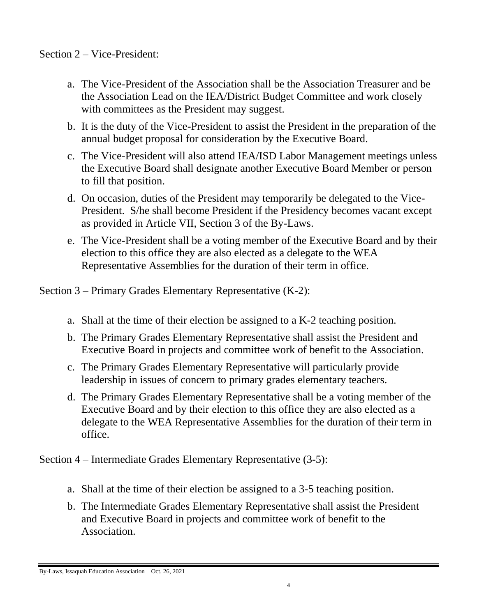- a. The Vice-President of the Association shall be the Association Treasurer and be the Association Lead on the IEA/District Budget Committee and work closely with committees as the President may suggest.
- b. It is the duty of the Vice-President to assist the President in the preparation of the annual budget proposal for consideration by the Executive Board.
- c. The Vice-President will also attend IEA/ISD Labor Management meetings unless the Executive Board shall designate another Executive Board Member or person to fill that position.
- d. On occasion, duties of the President may temporarily be delegated to the Vice-President. S/he shall become President if the Presidency becomes vacant except as provided in Article VII, Section 3 of the By-Laws.
- e. The Vice-President shall be a voting member of the Executive Board and by their election to this office they are also elected as a delegate to the WEA Representative Assemblies for the duration of their term in office.

Section 3 – Primary Grades Elementary Representative (K-2):

- a. Shall at the time of their election be assigned to a K-2 teaching position.
- b. The Primary Grades Elementary Representative shall assist the President and Executive Board in projects and committee work of benefit to the Association.
- c. The Primary Grades Elementary Representative will particularly provide leadership in issues of concern to primary grades elementary teachers.
- d. The Primary Grades Elementary Representative shall be a voting member of the Executive Board and by their election to this office they are also elected as a delegate to the WEA Representative Assemblies for the duration of their term in office.

Section 4 – Intermediate Grades Elementary Representative (3-5):

**4**

- a. Shall at the time of their election be assigned to a 3-5 teaching position.
- b. The Intermediate Grades Elementary Representative shall assist the President and Executive Board in projects and committee work of benefit to the Association.

By-Laws, Issaquah Education Association Oct. 26, 2021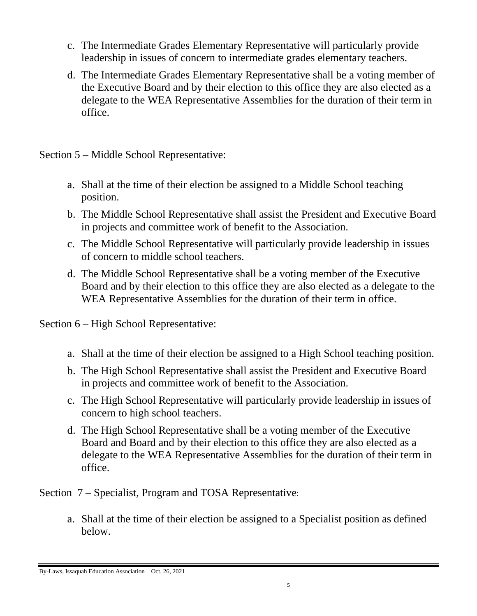- c. The Intermediate Grades Elementary Representative will particularly provide leadership in issues of concern to intermediate grades elementary teachers.
- d. The Intermediate Grades Elementary Representative shall be a voting member of the Executive Board and by their election to this office they are also elected as a delegate to the WEA Representative Assemblies for the duration of their term in office.

Section 5 – Middle School Representative:

- a. Shall at the time of their election be assigned to a Middle School teaching position.
- b. The Middle School Representative shall assist the President and Executive Board in projects and committee work of benefit to the Association.
- c. The Middle School Representative will particularly provide leadership in issues of concern to middle school teachers.
- d. The Middle School Representative shall be a voting member of the Executive Board and by their election to this office they are also elected as a delegate to the WEA Representative Assemblies for the duration of their term in office.

Section 6 – High School Representative:

- a. Shall at the time of their election be assigned to a High School teaching position.
- b. The High School Representative shall assist the President and Executive Board in projects and committee work of benefit to the Association.
- c. The High School Representative will particularly provide leadership in issues of concern to high school teachers.
- d. The High School Representative shall be a voting member of the Executive Board and Board and by their election to this office they are also elected as a delegate to the WEA Representative Assemblies for the duration of their term in office.

Section 7 – Specialist, Program and TOSA Representative:

a. Shall at the time of their election be assigned to a Specialist position as defined below.

By-Laws, Issaquah Education Association Oct. 26, 2021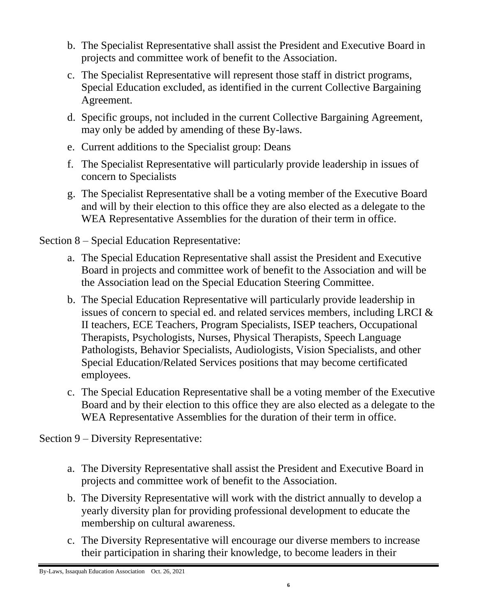- b. The Specialist Representative shall assist the President and Executive Board in projects and committee work of benefit to the Association.
- c. The Specialist Representative will represent those staff in district programs, Special Education excluded, as identified in the current Collective Bargaining Agreement.
- d. Specific groups, not included in the current Collective Bargaining Agreement, may only be added by amending of these By-laws.
- e. Current additions to the Specialist group: Deans
- f. The Specialist Representative will particularly provide leadership in issues of concern to Specialists
- g. The Specialist Representative shall be a voting member of the Executive Board and will by their election to this office they are also elected as a delegate to the WEA Representative Assemblies for the duration of their term in office.

Section 8 – Special Education Representative:

- a. The Special Education Representative shall assist the President and Executive Board in projects and committee work of benefit to the Association and will be the Association lead on the Special Education Steering Committee.
- b. The Special Education Representative will particularly provide leadership in issues of concern to special ed. and related services members, including LRCI & II teachers, ECE Teachers, Program Specialists, ISEP teachers, Occupational Therapists, Psychologists, Nurses, Physical Therapists, Speech Language Pathologists, Behavior Specialists, Audiologists, Vision Specialists, and other Special Education/Related Services positions that may become certificated employees.
- c. The Special Education Representative shall be a voting member of the Executive Board and by their election to this office they are also elected as a delegate to the WEA Representative Assemblies for the duration of their term in office.

Section 9 – Diversity Representative:

- a. The Diversity Representative shall assist the President and Executive Board in projects and committee work of benefit to the Association.
- b. The Diversity Representative will work with the district annually to develop a yearly diversity plan for providing professional development to educate the membership on cultural awareness.
- c. The Diversity Representative will encourage our diverse members to increase their participation in sharing their knowledge, to become leaders in their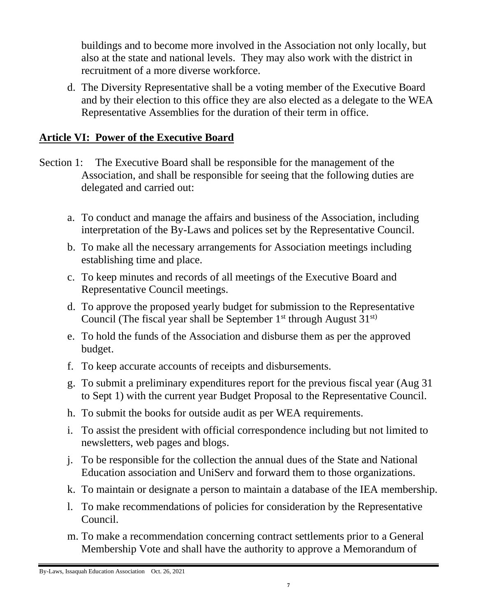buildings and to become more involved in the Association not only locally, but also at the state and national levels. They may also work with the district in recruitment of a more diverse workforce.

d. The Diversity Representative shall be a voting member of the Executive Board and by their election to this office they are also elected as a delegate to the WEA Representative Assemblies for the duration of their term in office.

#### **Article VI: Power of the Executive Board**

- Section 1: The Executive Board shall be responsible for the management of the Association, and shall be responsible for seeing that the following duties are delegated and carried out:
	- a. To conduct and manage the affairs and business of the Association, including interpretation of the By-Laws and polices set by the Representative Council.
	- b. To make all the necessary arrangements for Association meetings including establishing time and place.
	- c. To keep minutes and records of all meetings of the Executive Board and Representative Council meetings.
	- d. To approve the proposed yearly budget for submission to the Representative Council (The fiscal year shall be September  $1<sup>st</sup>$  through August  $31<sup>st</sup>$ )
	- e. To hold the funds of the Association and disburse them as per the approved budget.
	- f. To keep accurate accounts of receipts and disbursements.
	- g. To submit a preliminary expenditures report for the previous fiscal year (Aug 31 to Sept 1) with the current year Budget Proposal to the Representative Council.
	- h. To submit the books for outside audit as per WEA requirements.
	- i. To assist the president with official correspondence including but not limited to newsletters, web pages and blogs.
	- j. To be responsible for the collection the annual dues of the State and National Education association and UniServ and forward them to those organizations.
	- k. To maintain or designate a person to maintain a database of the IEA membership.
	- l. To make recommendations of policies for consideration by the Representative Council.
	- m. To make a recommendation concerning contract settlements prior to a General Membership Vote and shall have the authority to approve a Memorandum of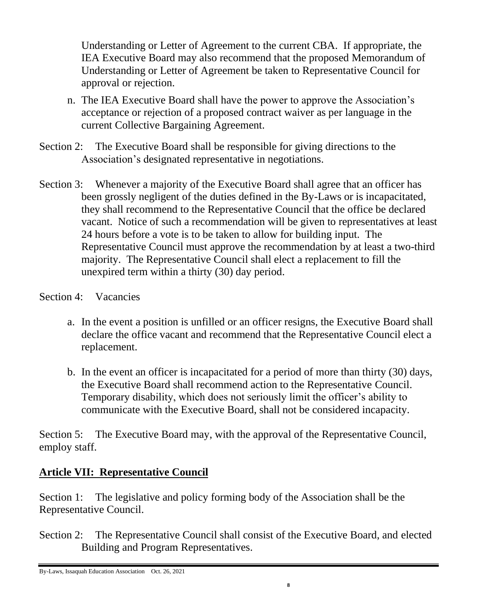Understanding or Letter of Agreement to the current CBA. If appropriate, the IEA Executive Board may also recommend that the proposed Memorandum of Understanding or Letter of Agreement be taken to Representative Council for approval or rejection.

- n. The IEA Executive Board shall have the power to approve the Association's acceptance or rejection of a proposed contract waiver as per language in the current Collective Bargaining Agreement.
- Section 2: The Executive Board shall be responsible for giving directions to the Association's designated representative in negotiations.
- Section 3: Whenever a majority of the Executive Board shall agree that an officer has been grossly negligent of the duties defined in the By-Laws or is incapacitated, they shall recommend to the Representative Council that the office be declared vacant. Notice of such a recommendation will be given to representatives at least 24 hours before a vote is to be taken to allow for building input. The Representative Council must approve the recommendation by at least a two-third majority. The Representative Council shall elect a replacement to fill the unexpired term within a thirty (30) day period.

#### Section 4: Vacancies

- a. In the event a position is unfilled or an officer resigns, the Executive Board shall declare the office vacant and recommend that the Representative Council elect a replacement.
- b. In the event an officer is incapacitated for a period of more than thirty (30) days, the Executive Board shall recommend action to the Representative Council. Temporary disability, which does not seriously limit the officer's ability to communicate with the Executive Board, shall not be considered incapacity.

Section 5: The Executive Board may, with the approval of the Representative Council, employ staff.

# **Article VII: Representative Council**

Section 1: The legislative and policy forming body of the Association shall be the Representative Council.

Section 2: The Representative Council shall consist of the Executive Board, and elected Building and Program Representatives.

By-Laws, Issaquah Education Association Oct. 26, 2021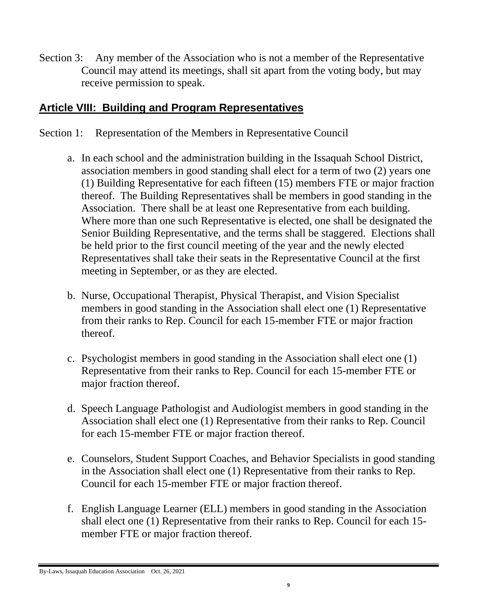Section 3: Any member of the Association who is not a member of the Representative Council may attend its meetings, shall sit apart from the voting body, but may receive permission to speak.

# **Article VIII: Building and Program Representatives**

- Section 1: Representation of the Members in Representative Council
	- a. In each school and the administration building in the Issaquah School District, association members in good standing shall elect for a term of two (2) years one (1) Building Representative for each fifteen (15) members FTE or major fraction thereof. The Building Representatives shall be members in good standing in the Association. There shall be at least one Representative from each building. Where more than one such Representative is elected, one shall be designated the Senior Building Representative, and the terms shall be staggered. Elections shall be held prior to the first council meeting of the year and the newly elected Representatives shall take their seats in the Representative Council at the first meeting in September, or as they are elected.
	- b. Nurse, Occupational Therapist, Physical Therapist, and Vision Specialist members in good standing in the Association shall elect one (1) Representative from their ranks to Rep. Council for each 15-member FTE or major fraction thereof.
	- c. Psychologist members in good standing in the Association shall elect one (1) Representative from their ranks to Rep. Council for each 15-member FTE or major fraction thereof.
	- d. Speech Language Pathologist and Audiologist members in good standing in the Association shall elect one (1) Representative from their ranks to Rep. Council for each 15-member FTE or major fraction thereof.
	- e. Counselors, Student Support Coaches, and Behavior Specialists in good standing in the Association shall elect one (1) Representative from their ranks to Rep. Council for each 15-member FTE or major fraction thereof.
	- f. English Language Learner (ELL) members in good standing in the Association shall elect one (1) Representative from their ranks to Rep. Council for each 15 member FTE or major fraction thereof.

By-Laws, Issaquah Education Association Oct. 26, 2021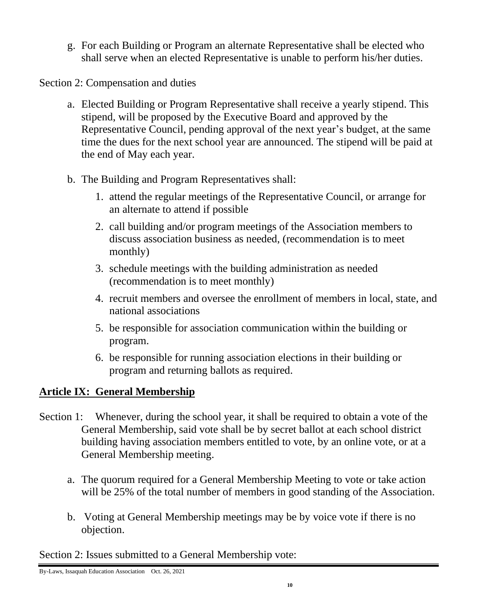g. For each Building or Program an alternate Representative shall be elected who shall serve when an elected Representative is unable to perform his/her duties.

Section 2: Compensation and duties

- a. Elected Building or Program Representative shall receive a yearly stipend. This stipend, will be proposed by the Executive Board and approved by the Representative Council, pending approval of the next year's budget, at the same time the dues for the next school year are announced. The stipend will be paid at the end of May each year.
- b. The Building and Program Representatives shall:
	- 1. attend the regular meetings of the Representative Council, or arrange for an alternate to attend if possible
	- 2. call building and/or program meetings of the Association members to discuss association business as needed, (recommendation is to meet monthly)
	- 3. schedule meetings with the building administration as needed (recommendation is to meet monthly)
	- 4. recruit members and oversee the enrollment of members in local, state, and national associations
	- 5. be responsible for association communication within the building or program.
	- 6. be responsible for running association elections in their building or program and returning ballots as required.

# **Article IX: General Membership**

- Section 1: Whenever, during the school year, it shall be required to obtain a vote of the General Membership, said vote shall be by secret ballot at each school district building having association members entitled to vote, by an online vote, or at a General Membership meeting.
	- a. The quorum required for a General Membership Meeting to vote or take action will be 25% of the total number of members in good standing of the Association.
	- b. Voting at General Membership meetings may be by voice vote if there is no objection.

Section 2: Issues submitted to a General Membership vote:

By-Laws, Issaquah Education Association Oct. 26, 2021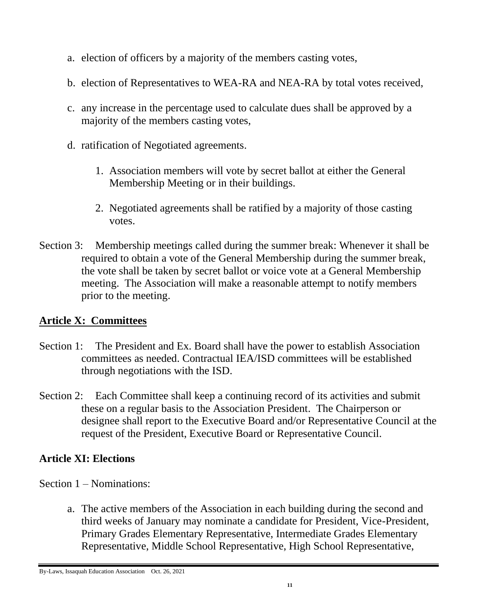- a. election of officers by a majority of the members casting votes,
- b. election of Representatives to WEA-RA and NEA-RA by total votes received,
- c. any increase in the percentage used to calculate dues shall be approved by a majority of the members casting votes,
- d. ratification of Negotiated agreements.
	- 1. Association members will vote by secret ballot at either the General Membership Meeting or in their buildings.
	- 2. Negotiated agreements shall be ratified by a majority of those casting votes.
- Section 3: Membership meetings called during the summer break: Whenever it shall be required to obtain a vote of the General Membership during the summer break, the vote shall be taken by secret ballot or voice vote at a General Membership meeting. The Association will make a reasonable attempt to notify members prior to the meeting.

#### **Article X: Committees**

- Section 1: The President and Ex. Board shall have the power to establish Association committees as needed. Contractual IEA/ISD committees will be established through negotiations with the ISD.
- Section 2: Each Committee shall keep a continuing record of its activities and submit these on a regular basis to the Association President. The Chairperson or designee shall report to the Executive Board and/or Representative Council at the request of the President, Executive Board or Representative Council.

# **Article XI: Elections**

- Section 1 Nominations:
	- a. The active members of the Association in each building during the second and third weeks of January may nominate a candidate for President, Vice-President, Primary Grades Elementary Representative, Intermediate Grades Elementary Representative, Middle School Representative, High School Representative,

By-Laws, Issaquah Education Association Oct. 26, 2021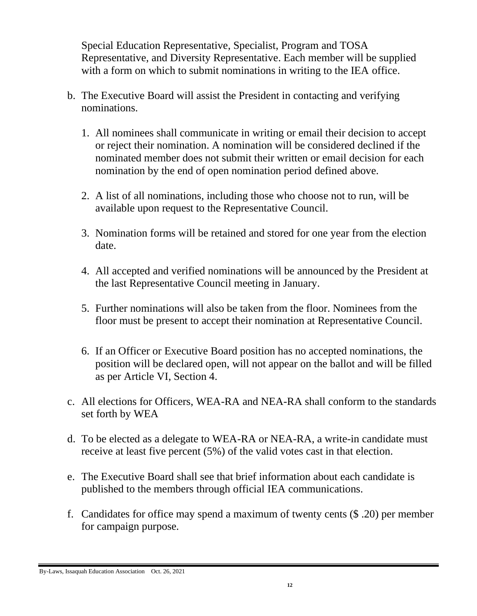Special Education Representative, Specialist, Program and TOSA Representative, and Diversity Representative. Each member will be supplied with a form on which to submit nominations in writing to the IEA office.

- b. The Executive Board will assist the President in contacting and verifying nominations.
	- 1. All nominees shall communicate in writing or email their decision to accept or reject their nomination. A nomination will be considered declined if the nominated member does not submit their written or email decision for each nomination by the end of open nomination period defined above.
	- 2. A list of all nominations, including those who choose not to run, will be available upon request to the Representative Council.
	- 3. Nomination forms will be retained and stored for one year from the election date.
	- 4. All accepted and verified nominations will be announced by the President at the last Representative Council meeting in January.
	- 5. Further nominations will also be taken from the floor. Nominees from the floor must be present to accept their nomination at Representative Council.
	- 6. If an Officer or Executive Board position has no accepted nominations, the position will be declared open, will not appear on the ballot and will be filled as per Article VI, Section 4.
- c. All elections for Officers, WEA-RA and NEA-RA shall conform to the standards set forth by WEA
- d. To be elected as a delegate to WEA-RA or NEA-RA, a write-in candidate must receive at least five percent (5%) of the valid votes cast in that election.
- e. The Executive Board shall see that brief information about each candidate is published to the members through official IEA communications.
- f. Candidates for office may spend a maximum of twenty cents (\$ .20) per member for campaign purpose.

By-Laws, Issaquah Education Association Oct. 26, 2021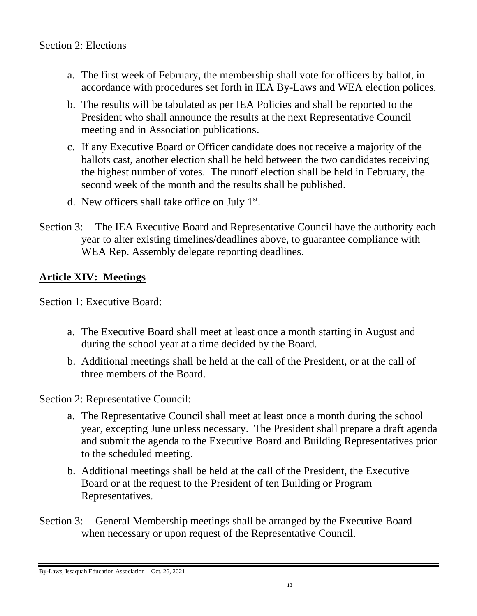- a. The first week of February, the membership shall vote for officers by ballot, in accordance with procedures set forth in IEA By-Laws and WEA election polices.
- b. The results will be tabulated as per IEA Policies and shall be reported to the President who shall announce the results at the next Representative Council meeting and in Association publications.
- c. If any Executive Board or Officer candidate does not receive a majority of the ballots cast, another election shall be held between the two candidates receiving the highest number of votes. The runoff election shall be held in February, the second week of the month and the results shall be published.
- d. New officers shall take office on July 1<sup>st</sup>.
- Section 3: The IEA Executive Board and Representative Council have the authority each year to alter existing timelines/deadlines above, to guarantee compliance with WEA Rep. Assembly delegate reporting deadlines.

# **Article XIV: Meetings**

Section 1: Executive Board:

- a. The Executive Board shall meet at least once a month starting in August and during the school year at a time decided by the Board.
- b. Additional meetings shall be held at the call of the President, or at the call of three members of the Board.

Section 2: Representative Council:

- a. The Representative Council shall meet at least once a month during the school year, excepting June unless necessary. The President shall prepare a draft agenda and submit the agenda to the Executive Board and Building Representatives prior to the scheduled meeting.
- b. Additional meetings shall be held at the call of the President, the Executive Board or at the request to the President of ten Building or Program Representatives.
- Section 3: General Membership meetings shall be arranged by the Executive Board when necessary or upon request of the Representative Council.

By-Laws, Issaquah Education Association Oct. 26, 2021